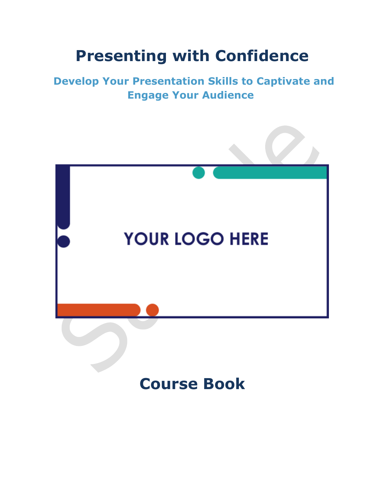## **Presenting with Confidence**

### **Develop Your Presentation Skills to Captivate and Engage Your Audience**



## **Course Book**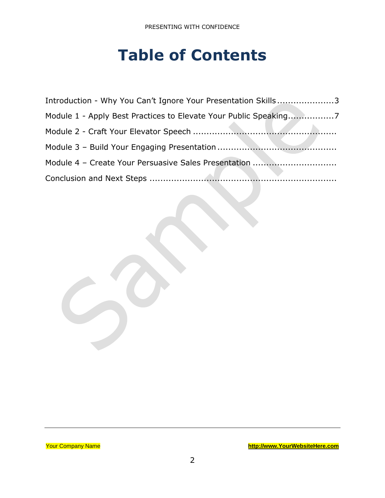## **Table of Contents**

| Introduction - Why You Can't Ignore Your Presentation Skills3    |
|------------------------------------------------------------------|
| Module 1 - Apply Best Practices to Elevate Your Public Speaking7 |
|                                                                  |
|                                                                  |
|                                                                  |
|                                                                  |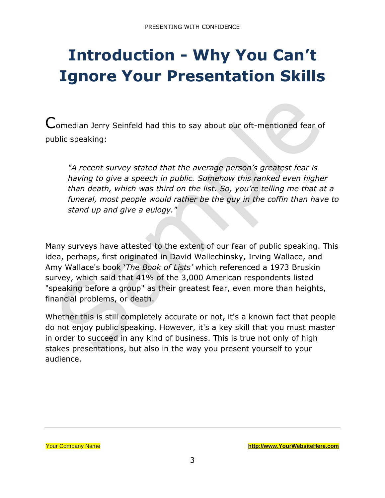# <span id="page-2-0"></span>**Introduction - Why You Can't Ignore Your Presentation Skills**

Comedian Jerry Seinfeld had this to say about our oft-mentioned fear of public speaking:

*"A recent survey stated that the average person's greatest fear is having to give a speech in public. Somehow this ranked even higher than death, which was third on the list. So, you're telling me that at a funeral, most people would rather be the guy in the coffin than have to stand up and give a eulogy."*

Many surveys have attested to the extent of our fear of public speaking. This idea, perhaps, first originated in David Wallechinsky, Irving Wallace, and Amy Wallace's book '*The Book of Lists'* which referenced a 1973 Bruskin survey, which said that 41% of the 3,000 American respondents listed "speaking before a group" as their greatest fear, even more than heights, financial problems, or death.

Whether this is still completely accurate or not, it's a known fact that people do not enjoy public speaking. However, it's a key skill that you must master in order to succeed in any kind of business. This is true not only of high stakes presentations, but also in the way you present yourself to your audience.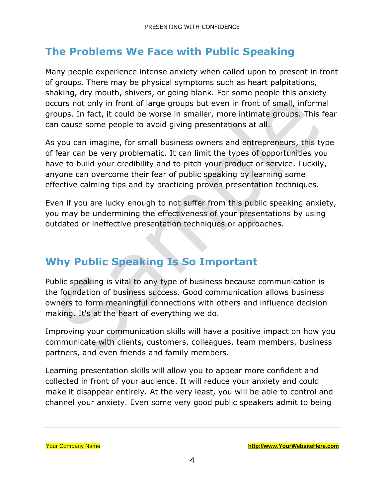## **The Problems We Face with Public Speaking**

Many people experience intense anxiety when called upon to present in front of groups. There may be physical symptoms such as heart palpitations, shaking, dry mouth, shivers, or going blank. For some people this anxiety occurs not only in front of large groups but even in front of small, informal groups. In fact, it could be worse in smaller, more intimate groups. This fear can cause some people to avoid giving presentations at all.

As you can imagine, for small business owners and entrepreneurs, this type of fear can be very problematic. It can limit the types of opportunities you have to build your credibility and to pitch your product or service. Luckily, anyone can overcome their fear of public speaking by learning some effective calming tips and by practicing proven presentation techniques.

Even if you are lucky enough to not suffer from this public speaking anxiety, you may be undermining the effectiveness of your presentations by using outdated or ineffective presentation techniques or approaches.

## **Why Public Speaking Is So Important**

Public speaking is vital to any type of business because communication is the foundation of business success. Good communication allows business owners to form meaningful connections with others and influence decision making. It's at the heart of everything we do.

Improving your communication skills will have a positive impact on how you communicate with clients, customers, colleagues, team members, business partners, and even friends and family members.

Learning presentation skills will allow you to appear more confident and collected in front of your audience. It will reduce your anxiety and could make it disappear entirely. At the very least, you will be able to control and channel your anxiety. Even some very good public speakers admit to being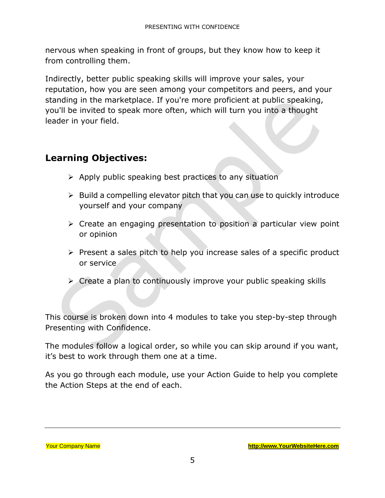nervous when speaking in front of groups, but they know how to keep it from controlling them.

Indirectly, better public speaking skills will improve your sales, your reputation, how you are seen among your competitors and peers, and your standing in the marketplace. If you're more proficient at public speaking, you'll be invited to speak more often, which will turn you into a thought leader in your field.

#### **Learning Objectives:**

- ➢ Apply public speaking best practices to any situation
- $\triangleright$  Build a compelling elevator pitch that you can use to quickly introduce yourself and your company
- ➢ Create an engaging presentation to position a particular view point or opinion
- ➢ Present a sales pitch to help you increase sales of a specific product or service
- ➢ Create a plan to continuously improve your public speaking skills

This course is broken down into 4 modules to take you step-by-step through Presenting with Confidence.

The modules follow a logical order, so while you can skip around if you want, it's best to work through them one at a time.

As you go through each module, use your Action Guide to help you complete the Action Steps at the end of each.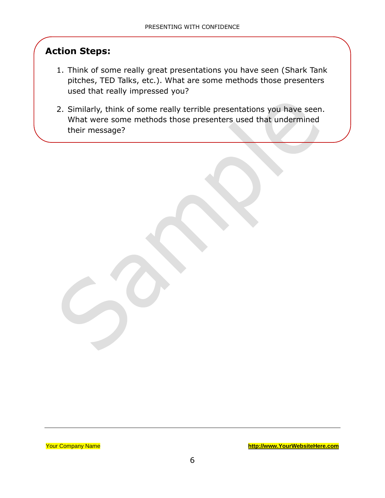#### **Action Steps:**

- 1. Think of some really great presentations you have seen (Shark Tank pitches, TED Talks, etc.). What are some methods those presenters used that really impressed you?
- 2. Similarly, think of some really terrible presentations you have seen. What were some methods those presenters used that undermined their message?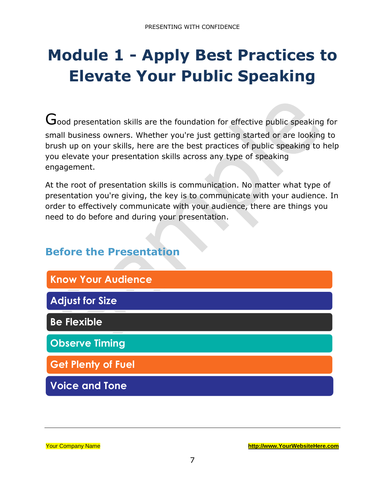# <span id="page-6-0"></span>**Module 1 - Apply Best Practices to Elevate Your Public Speaking**

Good presentation skills are the foundation for effective public speaking for small business owners. Whether you're just getting started or are looking to brush up on your skills, here are the best practices of public speaking to help you elevate your presentation skills across any type of speaking engagement.

At the root of presentation skills is communication. No matter what type of presentation you're giving, the key is to communicate with your audience. In order to effectively communicate with your audience, there are things you need to do before and during your presentation.

### **Before the Presentation**

| <b>Know Your Audience</b> |
|---------------------------|
| <b>Adjust for Size</b>    |
| <b>Be Flexible</b>        |
| <b>Observe Timing</b>     |
| <b>Get Plenty of Fuel</b> |
| <b>Voice and Tone</b>     |

Your Company Name **[http://www.YourWebsiteHere.com](http://www.yourwebsitehere.com/)**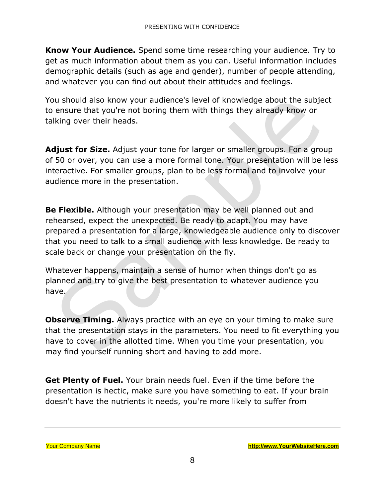**Know Your Audience.** Spend some time researching your audience. Try to get as much information about them as you can. Useful information includes demographic details (such as age and gender), number of people attending, and whatever you can find out about their attitudes and feelings.

You should also know your audience's level of knowledge about the subject to ensure that you're not boring them with things they already know or talking over their heads.

**Adjust for Size.** Adjust your tone for larger or smaller groups. For a group of 50 or over, you can use a more formal tone. Your presentation will be less interactive. For smaller groups, plan to be less formal and to involve your audience more in the presentation.

**Be Flexible.** Although your presentation may be well planned out and rehearsed, expect the unexpected. Be ready to adapt. You may have prepared a presentation for a large, knowledgeable audience only to discover that you need to talk to a small audience with less knowledge. Be ready to scale back or change your presentation on the fly.

Whatever happens, maintain a sense of humor when things don't go as planned and try to give the best presentation to whatever audience you have.

**Observe Timing.** Always practice with an eye on your timing to make sure that the presentation stays in the parameters. You need to fit everything you have to cover in the allotted time. When you time your presentation, you may find yourself running short and having to add more.

**Get Plenty of Fuel.** Your brain needs fuel. Even if the time before the presentation is hectic, make sure you have something to eat. If your brain doesn't have the nutrients it needs, you're more likely to suffer from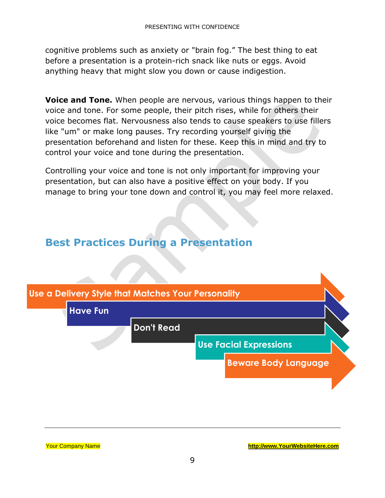cognitive problems such as anxiety or "brain fog." The best thing to eat before a presentation is a protein-rich snack like nuts or eggs. Avoid anything heavy that might slow you down or cause indigestion.

**Voice and Tone.** When people are nervous, various things happen to their voice and tone. For some people, their pitch rises, while for others their voice becomes flat. Nervousness also tends to cause speakers to use fillers like "um" or make long pauses. Try recording yourself giving the presentation beforehand and listen for these. Keep this in mind and try to control your voice and tone during the presentation.

Controlling your voice and tone is not only important for improving your presentation, but can also have a positive effect on your body. If you manage to bring your tone down and control it, you may feel more relaxed.

#### **Best Practices During a Presentation**



Your Company Name **[http://www.YourWebsiteHere.com](http://www.yourwebsitehere.com/)**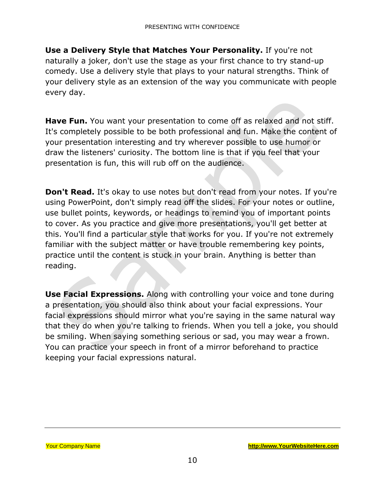**Use a Delivery Style that Matches Your Personality.** If you're not naturally a joker, don't use the stage as your first chance to try stand-up comedy. Use a delivery style that plays to your natural strengths. Think of your delivery style as an extension of the way you communicate with people every day.

**Have Fun.** You want your presentation to come off as relaxed and not stiff. It's completely possible to be both professional and fun. Make the content of your presentation interesting and try wherever possible to use humor or draw the listeners' curiosity. The bottom line is that if you feel that your presentation is fun, this will rub off on the audience.

**Don't Read.** It's okay to use notes but don't read from your notes. If you're using PowerPoint, don't simply read off the slides. For your notes or outline, use bullet points, keywords, or headings to remind you of important points to cover. As you practice and give more presentations, you'll get better at this. You'll find a particular style that works for you. If you're not extremely familiar with the subject matter or have trouble remembering key points, practice until the content is stuck in your brain. Anything is better than reading.

**Use Facial Expressions.** Along with controlling your voice and tone during a presentation, you should also think about your facial expressions. Your facial expressions should mirror what you're saying in the same natural way that they do when you're talking to friends. When you tell a joke, you should be smiling. When saying something serious or sad, you may wear a frown. You can practice your speech in front of a mirror beforehand to practice keeping your facial expressions natural.